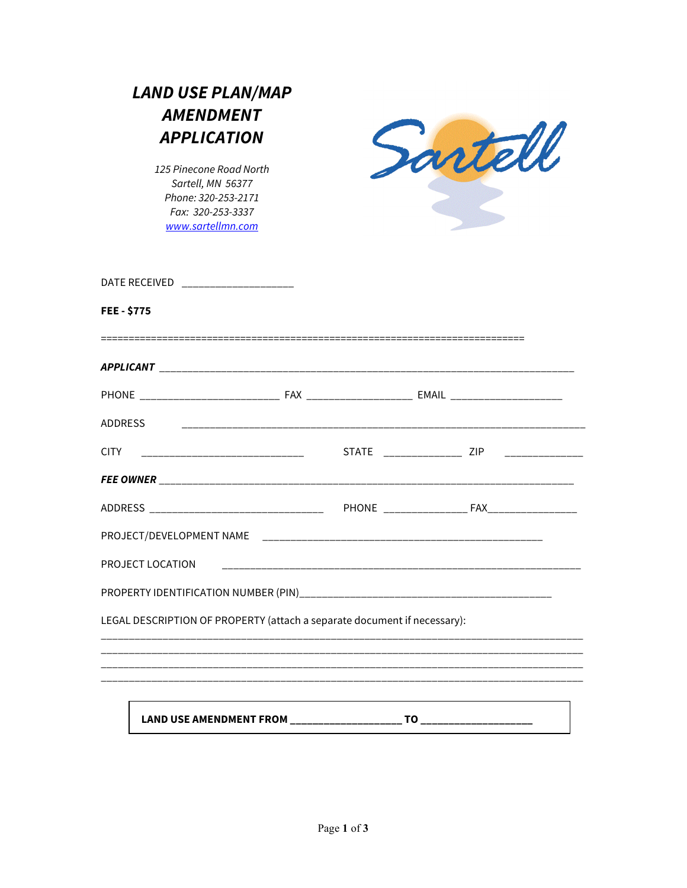| <b>LAND USE PLAN/MAP</b> |  |
|--------------------------|--|
| <i><b>AMENDMENT</b></i>  |  |
| <b>APPLICATION</b>       |  |
| 125 Pinecone Road North  |  |

125 Pinecone Road North Sartell, MN 56377 Phone: 320-253-2171 Fax: 320-253-3337 www.sartellmn.com



| DATE RECEIVED ______________________                                             |  |                                                                                  |  |
|----------------------------------------------------------------------------------|--|----------------------------------------------------------------------------------|--|
| <b>FEE-\$775</b>                                                                 |  |                                                                                  |  |
|                                                                                  |  |                                                                                  |  |
|                                                                                  |  |                                                                                  |  |
| <b>ADDRESS</b>                                                                   |  |                                                                                  |  |
|                                                                                  |  | STATE ________________ ZIP ______________                                        |  |
|                                                                                  |  |                                                                                  |  |
|                                                                                  |  |                                                                                  |  |
|                                                                                  |  |                                                                                  |  |
| PROJECT LOCATION                                                                 |  |                                                                                  |  |
|                                                                                  |  |                                                                                  |  |
| LEGAL DESCRIPTION OF PROPERTY (attach a separate document if necessary):         |  |                                                                                  |  |
|                                                                                  |  | ,我们也不会有什么?""我们的人,我们也不会有什么?""我们的人,我们也不会有什么?""我们的人,我们也不会有什么?""我们的人,我们也不会有什么?""我们的人 |  |
| ,我们也不会有什么?""我们的人,我们也不会有什么?""我们的人,我们也不会有什么?""我们的人,我们也不会有什么?""我们的人,我们也不会有什么?""我们的人 |  |                                                                                  |  |
|                                                                                  |  |                                                                                  |  |
| LAND USE AMENDMENT FROM ____________________                                     |  |                                                                                  |  |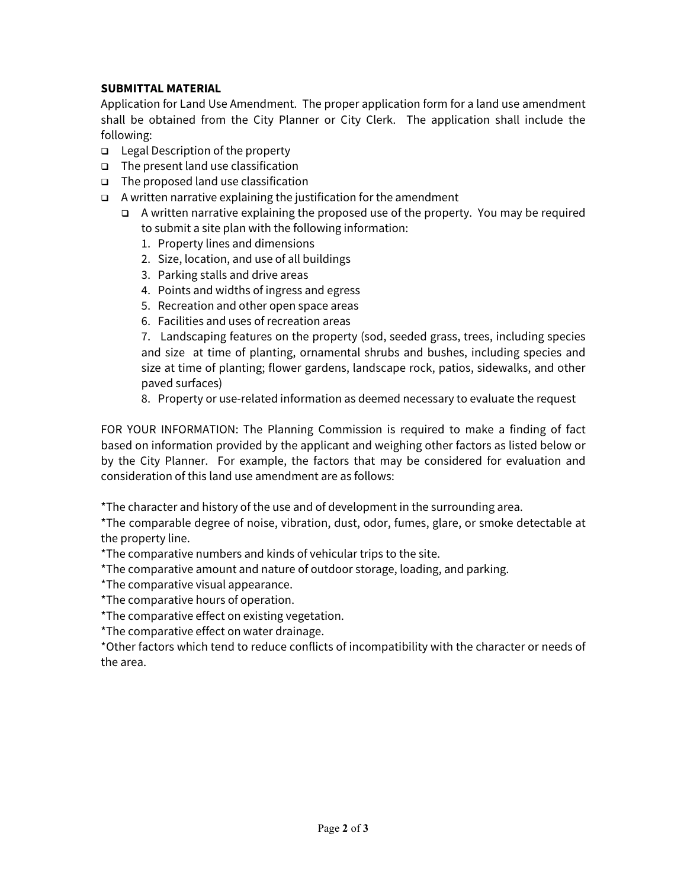## **SUBMITTAL MATERIAL**

Application for Land Use Amendment. The proper application form for a land use amendment shall be obtained from the City Planner or City Clerk. The application shall include the following:

- $\Box$  Legal Description of the property
- $\Box$  The present land use classification
- $\Box$  The proposed land use classification
- $\Box$  A written narrative explaining the justification for the amendment
	- $\Box$  A written narrative explaining the proposed use of the property. You may be required to submit a site plan with the following information:
		- 1. Property lines and dimensions
		- 2. Size, location, and use of all buildings
		- 3. Parking stalls and drive areas
		- 4. Points and widths of ingress and egress
		- 5. Recreation and other open space areas
		- 6. Facilities and uses of recreation areas

7. Landscaping features on the property (sod, seeded grass, trees, including species and size at time of planting, ornamental shrubs and bushes, including species and size at time of planting; flower gardens, landscape rock, patios, sidewalks, and other paved surfaces)

8. Property or use-related information as deemed necessary to evaluate the request

FOR YOUR INFORMATION: The Planning Commission is required to make a finding of fact based on information provided by the applicant and weighing other factors as listed below or by the City Planner. For example, the factors that may be considered for evaluation and consideration of this land use amendment are as follows:

\*The character and history of the use and of development in the surrounding area.

\*The comparable degree of noise, vibration, dust, odor, fumes, glare, or smoke detectable at the property line.

\*The comparative numbers and kinds of vehicular trips to the site.

\*The comparative amount and nature of outdoor storage, loading, and parking.

\*The comparative visual appearance.

\*The comparative hours of operation.

\*The comparative effect on existing vegetation.

\*The comparative effect on water drainage.

\*Other factors which tend to reduce conflicts of incompatibility with the character or needs of the area.